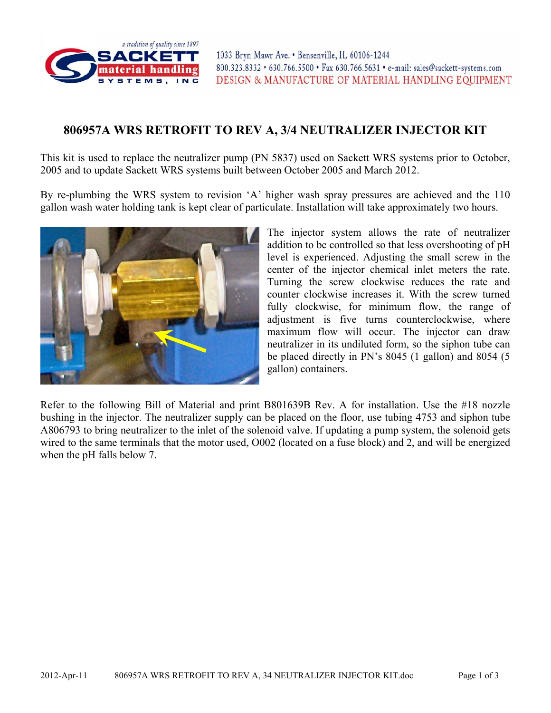

## **806957A WRS RETROFIT TO REV A, 3/4 NEUTRALIZER INJECTOR KIT**

This kit is used to replace the neutralizer pump (PN 5837) used on Sackett WRS systems prior to October, 2005 and to update Sackett WRS systems built between October 2005 and March 2012.

By re-plumbing the WRS system to revision 'A' higher wash spray pressures are achieved and the 110 gallon wash water holding tank is kept clear of particulate. Installation will take approximately two hours.



The injector system allows the rate of neutralizer addition to be controlled so that less overshooting of pH level is experienced. Adjusting the small screw in the center of the injector chemical inlet meters the rate. Turning the screw clockwise reduces the rate and counter clockwise increases it. With the screw turned fully clockwise, for minimum flow, the range of adjustment is five turns counterclockwise, where maximum flow will occur. The injector can draw neutralizer in its undiluted form, so the siphon tube can be placed directly in PN's 8045 (1 gallon) and 8054 (5 gallon) containers.

Refer to the following Bill of Material and print B801639B Rev. A for installation. Use the #18 nozzle bushing in the injector. The neutralizer supply can be placed on the floor, use tubing 4753 and siphon tube A806793 to bring neutralizer to the inlet of the solenoid valve. If updating a pump system, the solenoid gets wired to the same terminals that the motor used, O002 (located on a fuse block) and 2, and will be energized when the pH falls below 7.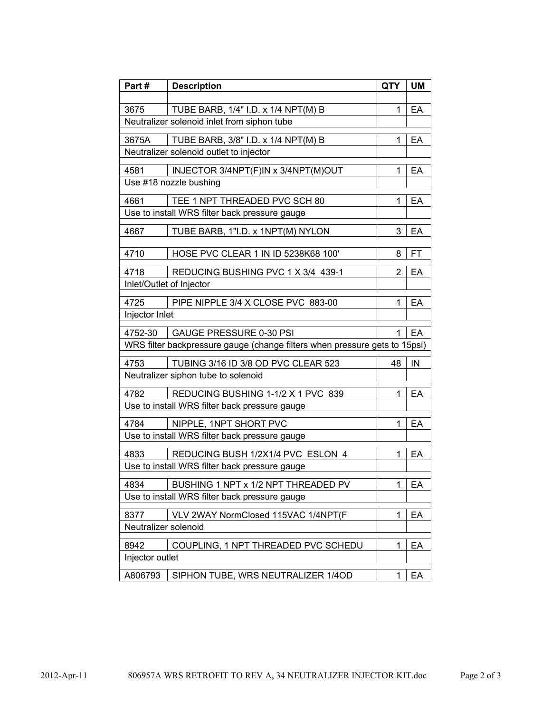| Part#                        | <b>Description</b>                                                                 | <b>QTY</b>     | <b>UM</b> |  |  |  |  |  |
|------------------------------|------------------------------------------------------------------------------------|----------------|-----------|--|--|--|--|--|
|                              |                                                                                    |                |           |  |  |  |  |  |
| 3675                         | TUBE BARB, 1/4" I.D. x 1/4 NPT(M) B<br>Neutralizer solenoid inlet from siphon tube | 1              | EA        |  |  |  |  |  |
|                              |                                                                                    |                |           |  |  |  |  |  |
| 3675A                        | TUBE BARB, 3/8" I.D. x 1/4 NPT(M) B<br>Neutralizer solenoid outlet to injector     | 1              | EA        |  |  |  |  |  |
|                              |                                                                                    |                |           |  |  |  |  |  |
| 4581                         | INJECTOR 3/4NPT(F)IN x 3/4NPT(M)OUT                                                | 1              | EA        |  |  |  |  |  |
|                              | Use #18 nozzle bushing                                                             |                |           |  |  |  |  |  |
| 4661                         | TEE 1 NPT THREADED PVC SCH 80                                                      | 1              | EA        |  |  |  |  |  |
|                              | Use to install WRS filter back pressure gauge                                      |                |           |  |  |  |  |  |
| 4667                         | TUBE BARB, 1"I.D. x 1NPT(M) NYLON                                                  | 3              | EA        |  |  |  |  |  |
| 4710                         | HOSE PVC CLEAR 1 IN ID 5238K68 100'                                                | 8              | FT        |  |  |  |  |  |
|                              |                                                                                    |                |           |  |  |  |  |  |
| 4718                         | REDUCING BUSHING PVC 1 X 3/4 439-1                                                 | $\overline{2}$ | EA        |  |  |  |  |  |
|                              | Inlet/Outlet of Injector                                                           |                |           |  |  |  |  |  |
| 4725                         | PIPE NIPPLE 3/4 X CLOSE PVC 883-00                                                 | 1              | EA        |  |  |  |  |  |
| Injector Inlet               |                                                                                    |                |           |  |  |  |  |  |
| 4752-30                      | <b>GAUGE PRESSURE 0-30 PSI</b>                                                     | 1              | EA        |  |  |  |  |  |
|                              | WRS filter backpressure gauge (change filters when pressure gets to 15psi)         |                |           |  |  |  |  |  |
| 4753                         | TUBING 3/16 ID 3/8 OD PVC CLEAR 523                                                | 48             | IN        |  |  |  |  |  |
|                              | Neutralizer siphon tube to solenoid                                                |                |           |  |  |  |  |  |
| 4782                         | REDUCING BUSHING 1-1/2 X 1 PVC 839                                                 | 1              | EA        |  |  |  |  |  |
|                              | Use to install WRS filter back pressure gauge                                      |                |           |  |  |  |  |  |
| 4784                         | NIPPLE, 1NPT SHORT PVC                                                             | 1              | EA        |  |  |  |  |  |
|                              | Use to install WRS filter back pressure gauge                                      |                |           |  |  |  |  |  |
| 4833                         | REDUCING BUSH 1/2X1/4 PVC ESLON 4                                                  | 1              | EA        |  |  |  |  |  |
|                              | Use to install WRS filter back pressure gauge                                      |                |           |  |  |  |  |  |
| 4834                         | BUSHING 1 NPT x 1/2 NPT THREADED PV                                                |                |           |  |  |  |  |  |
|                              | Use to install WRS filter back pressure gauge                                      | 1              | EA        |  |  |  |  |  |
|                              |                                                                                    |                |           |  |  |  |  |  |
| 8377<br>Neutralizer solenoid | VLV 2WAY NormClosed 115VAC 1/4NPT(F                                                | 1              | EА        |  |  |  |  |  |
|                              |                                                                                    |                |           |  |  |  |  |  |
| 8942                         | COUPLING, 1 NPT THREADED PVC SCHEDU                                                | 1              | EA        |  |  |  |  |  |
| Injector outlet              |                                                                                    |                |           |  |  |  |  |  |
| A806793                      | SIPHON TUBE, WRS NEUTRALIZER 1/4OD                                                 | 1              | EA        |  |  |  |  |  |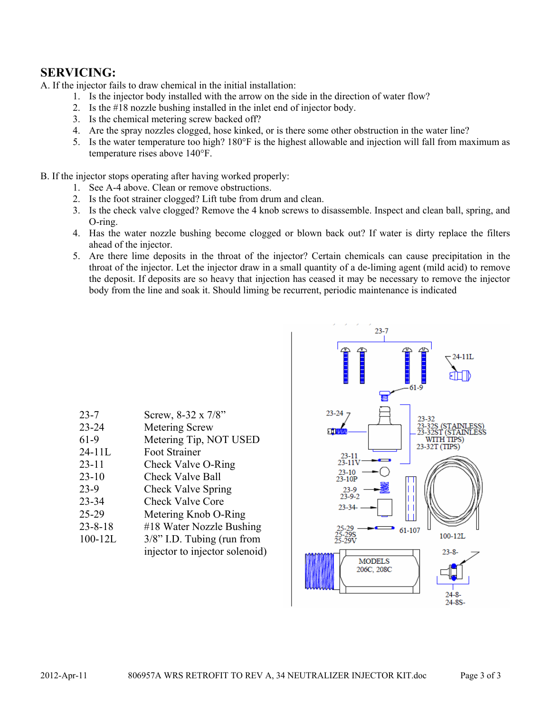## **SERVICING:**

A. If the injector fails to draw chemical in the initial installation:

- 1. Is the injector body installed with the arrow on the side in the direction of water flow?
- 2. Is the #18 nozzle bushing installed in the inlet end of injector body.
- 3. Is the chemical metering screw backed off?
- 4. Are the spray nozzles clogged, hose kinked, or is there some other obstruction in the water line?
- 5. Is the water temperature too high? 180°F is the highest allowable and injection will fall from maximum as temperature rises above 140°F.

B. If the injector stops operating after having worked properly:

- 1. See A-4 above. Clean or remove obstructions.
- 2. Is the foot strainer clogged? Lift tube from drum and clean.
- 3. Is the check valve clogged? Remove the 4 knob screws to disassemble. Inspect and clean ball, spring, and O-ring.
- 4. Has the water nozzle bushing become clogged or blown back out? If water is dirty replace the filters ahead of the injector.
- 5. Are there lime deposits in the throat of the injector? Certain chemicals can cause precipitation in the throat of the injector. Let the injector draw in a small quantity of a de-liming agent (mild acid) to remove the deposit. If deposits are so heavy that injection has ceased it may be necessary to remove the injector body from the line and soak it. Should liming be recurrent, periodic maintenance is indicated

| $23 - 7$      | Screw, 8-32 x 7/8"             |
|---------------|--------------------------------|
| $23 - 24$     | <b>Metering Screw</b>          |
| 61-9          | Metering Tip, NOT USED         |
| $24 - 11L$    | Foot Strainer                  |
| $23 - 11$     | Check Valve O-Ring             |
| $23-10$       | <b>Check Valve Ball</b>        |
| $23-9$        | Check Valve Spring             |
| 23-34         | <b>Check Valve Core</b>        |
| 25-29         | Metering Knob O-Ring           |
| $23 - 8 - 18$ | #18 Water Nozzle Bushing       |
| $100 - 12L$   | $3/8$ " I.D. Tubing (run from  |
|               | injector to injector solenoid) |

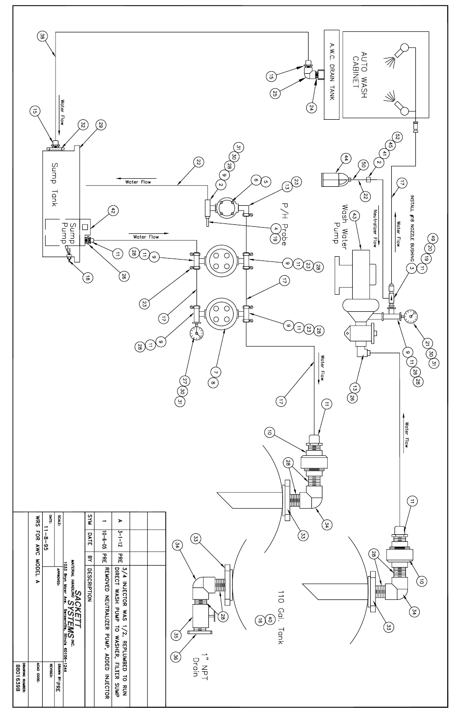

|                              | ທ                              | $\overline{\phantom{a}}$ | -99                      |                                                                                                                                   | ∽           |                           |                                                                                                                                   |  | ्भ्रॅ                                                                                                                                                                  |
|------------------------------|--------------------------------|--------------------------|--------------------------|-----------------------------------------------------------------------------------------------------------------------------------|-------------|---------------------------|-----------------------------------------------------------------------------------------------------------------------------------|--|------------------------------------------------------------------------------------------------------------------------------------------------------------------------|
|                              | <b>POR</b><br>AWC              | စ္<br>မ္ပ                |                          |                                                                                                                                   | DATE        | $-6 - 05$                 | $3 - 1 - 15$                                                                                                                      |  | ີສົ<br>$\begin{bmatrix} 2 & 3 \ 3 & 3 \end{bmatrix}$<br>34                                                                                                             |
|                              |                                |                          |                          |                                                                                                                                   | 핏           | <b>PRE</b>                | ЪŔЕ                                                                                                                               |  | $\approx$                                                                                                                                                              |
|                              | NODEL<br>$\blacktriangleright$ |                          | <b>APPROVED:</b>         | SACK<br>wierial handling SY<br>1033 bryn Mawr Ang. E<br>YSTEMS <sup>INC.</sup><br>Perserville, <sup>Illinois</sup><br>တျ<br>60106 | DESCRIPTION | REMOVED NEUTRALIZER PUMP, | 3/4 INJECTOR WAS<br>DIRECT WASH PUMP<br>SVM<br>$\overline{a}$<br>$\vec{\mathbf{u}}$<br>$\tilde{a}$<br>WASHER, FILTER<br>REPLUMBED |  | 籉<br>$\vec{c}$<br>冊<br>$\frac{1}{2}$<br>⋿≣<br>Gal.<br>໌ນີ<br>$\frac{8}{8}$<br>$\widehat{5}(5)$<br>$\left[ 33 \right]$<br>╒═<br>Tank<br>໌ຕົ<br>်မျှ<br>$\boldsymbol{z}$ |
| ркимне нимвек:<br>  B801639B | ACAD CODE:                     | <b>REVISED:</b>          | $\frac{-1244}{\sqrt{2}}$ |                                                                                                                                   |             | <b>ADDED</b><br>INJECTOR  | $\overline{a}$<br>SUMP<br><b>RUN</b>                                                                                              |  | Drain<br>$rac{1}{2}$                                                                                                                                                   |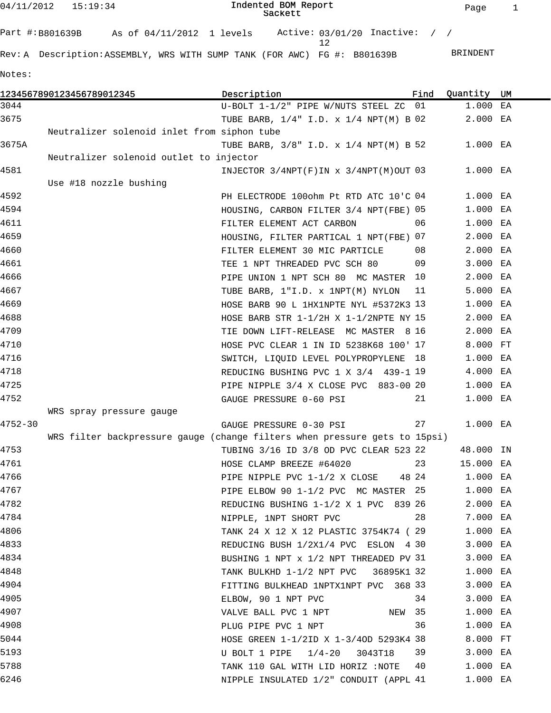04/11/2012 15:19:34

| Part #:B801639B | As of 04/11/2012 1 levels | Active: $03/01/20$ Inactive: / /                                        |  |          |
|-----------------|---------------------------|-------------------------------------------------------------------------|--|----------|
|                 |                           | Rev:A Description:ASSEMBLY, WRS WITH SUMP TANK (FOR AWC) FG #: B801639B |  | BRINDENT |

Notes:

|             | 1234567890123456789012345                   | Description                                                                | Find | Quantity  | UM |
|-------------|---------------------------------------------|----------------------------------------------------------------------------|------|-----------|----|
| 3044        |                                             | U-BOLT 1-1/2" PIPE W/NUTS STEEL ZC 01                                      |      | 1.000 EA  |    |
| 3675        |                                             | TUBE BARB, $1/4$ " I.D. x $1/4$ NPT(M) B 02                                |      | 2.000 EA  |    |
|             | Neutralizer solenoid inlet from siphon tube |                                                                            |      |           |    |
| 3675A       |                                             | TUBE BARB, $3/8$ " I.D. x $1/4$ NPT(M) B 52                                |      | 1.000 EA  |    |
|             | Neutralizer solenoid outlet to injector     |                                                                            |      |           |    |
| 4581        |                                             | INJECTOR $3/4NPT(F)$ IN $x$ $3/4NPT(M)$ OUT 03                             |      | 1.000 EA  |    |
|             | Use #18 nozzle bushing                      |                                                                            |      |           |    |
| 4592        |                                             | PH ELECTRODE 100ohm Pt RTD ATC 10'C 04                                     |      | 1.000 EA  |    |
| 4594        |                                             | HOUSING, CARBON FILTER 3/4 NPT(FBE) 05                                     |      | 1.000 EA  |    |
| 4611        |                                             | FILTER ELEMENT ACT CARBON                                                  | 06   | 1.000 EA  |    |
| 4659        |                                             | HOUSING, FILTER PARTICAL 1 NPT(FBE) 07                                     |      | 2.000 EA  |    |
| 4660        |                                             | FILTER ELEMENT 30 MIC PARTICLE                                             | 08   | 2.000 EA  |    |
| 4661        |                                             | TEE 1 NPT THREADED PVC SCH 80                                              | 09   | 3.000 EA  |    |
| 4666        |                                             | PIPE UNION 1 NPT SCH 80 MC MASTER                                          | 10   | 2.000 EA  |    |
| 4667        |                                             | TUBE BARB, 1"I.D. x 1NPT(M) NYLON                                          | 11   | 5.000 EA  |    |
| 4669        |                                             | HOSE BARB 90 L 1HX1NPTE NYL #5372K3 13                                     |      | 1.000 EA  |    |
| 4688        |                                             | HOSE BARB STR $1-1/2H$ X $1-1/2N$ PTE NY 15                                |      | 2.000 EA  |    |
| 4709        |                                             | TIE DOWN LIFT-RELEASE MC MASTER 8 16                                       |      | 2.000 EA  |    |
| 4710        |                                             | HOSE PVC CLEAR 1 IN ID 5238K68 100' 17                                     |      | 8.000 FT  |    |
| 4716        |                                             | SWITCH, LIQUID LEVEL POLYPROPYLENE                                         | 18   | 1.000 EA  |    |
| 4718        |                                             | REDUCING BUSHING PVC 1 X 3/4 439-1 19                                      |      | 4.000 EA  |    |
| 4725        |                                             | PIPE NIPPLE 3/4 X CLOSE PVC 883-00 20                                      |      | 1.000 EA  |    |
| 4752        |                                             | GAUGE PRESSURE 0-60 PSI                                                    | 21   | 1.000 EA  |    |
|             | WRS spray pressure gauge                    |                                                                            |      |           |    |
| $4752 - 30$ |                                             | GAUGE PRESSURE 0-30 PSI                                                    | 27   | 1.000 EA  |    |
|             |                                             | WRS filter backpressure gauge (change filters when pressure gets to 15psi) |      |           |    |
| 4753        |                                             | TUBING 3/16 ID 3/8 OD PVC CLEAR 523 22                                     |      | 48.000 IN |    |
| 4761        |                                             | HOSE CLAMP BREEZE #64020                                                   | 23   | 15.000 EA |    |
| 4766        |                                             | PIPE NIPPLE PVC $1-1/2$ X CLOSE 48 24                                      |      | 1.000 EA  |    |
| 4767        |                                             | PIPE ELBOW 90 1-1/2 PVC MC MASTER 25                                       |      | 1.000 EA  |    |
| 4782        |                                             | REDUCING BUSHING 1-1/2 X 1 PVC 839 26                                      |      | 2.000 EA  |    |
| 4784        |                                             | NIPPLE, 1NPT SHORT PVC                                                     | 28   | 7.000 EA  |    |
| 4806        |                                             | TANK 24 X 12 X 12 PLASTIC 3754K74 (29                                      |      | 1.000 EA  |    |
| 4833        |                                             | REDUCING BUSH 1/2X1/4 PVC ESLON 4 30                                       |      | 3.000 EA  |    |
| 4834        |                                             | BUSHING 1 NPT x 1/2 NPT THREADED PV 31                                     |      | 3.000 EA  |    |
| 4848        |                                             | TANK BULKHD 1-1/2 NPT PVC 36895K1 32                                       |      | 1.000 EA  |    |
| 4904        |                                             | FITTING BULKHEAD 1NPTX1NPT PVC 368 33                                      |      | 3.000 EA  |    |
| 4905        |                                             | ELBOW, 90 1 NPT PVC                                                        | 34   | 3.000 EA  |    |
| 4907        |                                             | NEW 35<br>VALVE BALL PVC 1 NPT                                             |      | 1.000 EA  |    |
| 4908        |                                             | PLUG PIPE PVC 1 NPT                                                        | 36   | 1.000 EA  |    |
| 5044        |                                             | HOSE GREEN 1-1/2ID X 1-3/40D 5293K4 38                                     |      | 8.000 FT  |    |
| 5193        |                                             | U BOLT 1 PIPE $1/4-20$<br>3043T18                                          | 39   | 3.000 EA  |    |
| 5788        |                                             | TANK 110 GAL WITH LID HORIZ :NOTE                                          | 40   | 1.000 EA  |    |
| 6246        |                                             | NIPPLE INSULATED 1/2" CONDUIT (APPL 41                                     |      | 1.000 EA  |    |
|             |                                             |                                                                            |      |           |    |